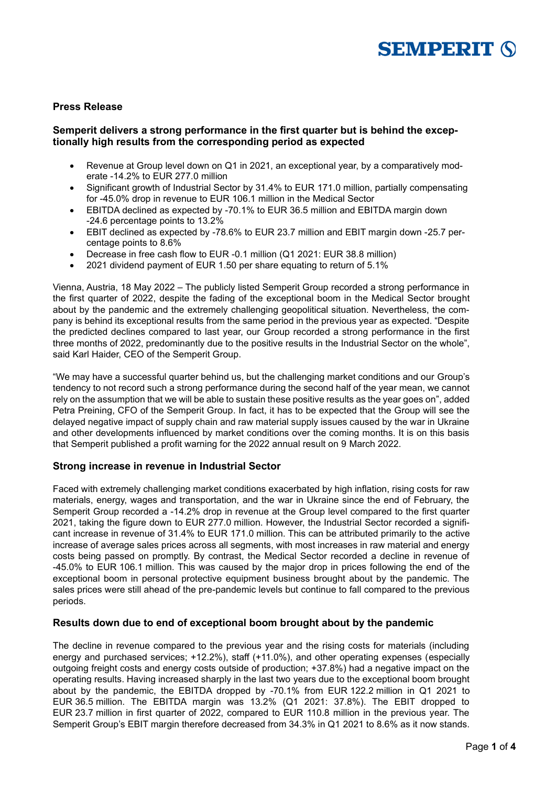

### **Press Release**

## **Semperit delivers a strong performance in the first quarter but is behind the exceptionally high results from the corresponding period as expected**

- Revenue at Group level down on Q1 in 2021, an exceptional year, by a comparatively moderate -14.2% to EUR 277.0 million
- Significant growth of Industrial Sector by 31.4% to EUR 171.0 million, partially compensating for -45.0% drop in revenue to EUR 106.1 million in the Medical Sector
- EBITDA declined as expected by -70.1% to EUR 36.5 million and EBITDA margin down -24.6 percentage points to 13.2%
- EBIT declined as expected by -78.6% to EUR 23.7 million and EBIT margin down -25.7 percentage points to 8.6%
- Decrease in free cash flow to EUR -0.1 million (Q1 2021: EUR 38.8 million)
- 2021 dividend payment of EUR 1.50 per share equating to return of 5.1%

Vienna, Austria, 18 May 2022 – The publicly listed Semperit Group recorded a strong performance in the first quarter of 2022, despite the fading of the exceptional boom in the Medical Sector brought about by the pandemic and the extremely challenging geopolitical situation. Nevertheless, the company is behind its exceptional results from the same period in the previous year as expected. "Despite the predicted declines compared to last year, our Group recorded a strong performance in the first three months of 2022, predominantly due to the positive results in the Industrial Sector on the whole", said Karl Haider, CEO of the Semperit Group.

"We may have a successful quarter behind us, but the challenging market conditions and our Group's tendency to not record such a strong performance during the second half of the year mean, we cannot rely on the assumption that we will be able to sustain these positive results as the year goes on", added Petra Preining, CFO of the Semperit Group. In fact, it has to be expected that the Group will see the delayed negative impact of supply chain and raw material supply issues caused by the war in Ukraine and other developments influenced by market conditions over the coming months. It is on this basis that Semperit published a profit warning for the 2022 annual result on 9 March 2022.

## **Strong increase in revenue in Industrial Sector**

Faced with extremely challenging market conditions exacerbated by high inflation, rising costs for raw materials, energy, wages and transportation, and the war in Ukraine since the end of February, the Semperit Group recorded a -14.2% drop in revenue at the Group level compared to the first quarter 2021, taking the figure down to EUR 277.0 million. However, the Industrial Sector recorded a significant increase in revenue of 31.4% to EUR 171.0 million. This can be attributed primarily to the active increase of average sales prices across all segments, with most increases in raw material and energy costs being passed on promptly. By contrast, the Medical Sector recorded a decline in revenue of -45.0% to EUR 106.1 million. This was caused by the major drop in prices following the end of the exceptional boom in personal protective equipment business brought about by the pandemic. The sales prices were still ahead of the pre-pandemic levels but continue to fall compared to the previous periods.

#### **Results down due to end of exceptional boom brought about by the pandemic**

The decline in revenue compared to the previous year and the rising costs for materials (including energy and purchased services; +12.2%), staff (+11.0%), and other operating expenses (especially outgoing freight costs and energy costs outside of production; +37.8%) had a negative impact on the operating results. Having increased sharply in the last two years due to the exceptional boom brought about by the pandemic, the EBITDA dropped by -70.1% from EUR 122.2 million in Q1 2021 to EUR 36.5 million. The EBITDA margin was 13.2% (Q1 2021: 37.8%). The EBIT dropped to EUR 23.7 million in first quarter of 2022, compared to EUR 110.8 million in the previous year. The Semperit Group's EBIT margin therefore decreased from 34.3% in Q1 2021 to 8.6% as it now stands.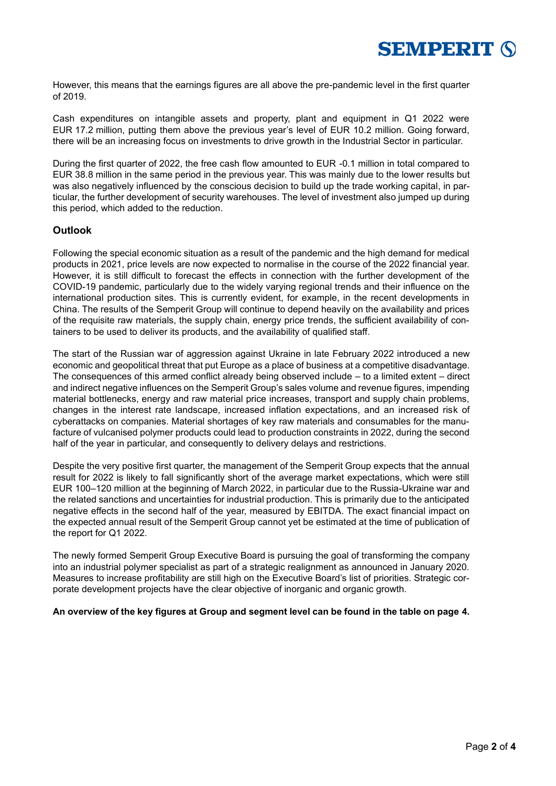

However, this means that the earnings figures are all above the pre-pandemic level in the first quarter of 2019.

Cash expenditures on intangible assets and property, plant and equipment in Q1 2022 were EUR 17.2 million, putting them above the previous year's level of EUR 10.2 million. Going forward, there will be an increasing focus on investments to drive growth in the Industrial Sector in particular.

During the first quarter of 2022, the free cash flow amounted to EUR -0.1 million in total compared to EUR 38.8 million in the same period in the previous year. This was mainly due to the lower results but was also negatively influenced by the conscious decision to build up the trade working capital, in particular, the further development of security warehouses. The level of investment also jumped up during this period, which added to the reduction.

# **Outlook**

Following the special economic situation as a result of the pandemic and the high demand for medical products in 2021, price levels are now expected to normalise in the course of the 2022 financial year. However, it is still difficult to forecast the effects in connection with the further development of the COVID-19 pandemic, particularly due to the widely varying regional trends and their influence on the international production sites. This is currently evident, for example, in the recent developments in China. The results of the Semperit Group will continue to depend heavily on the availability and prices of the requisite raw materials, the supply chain, energy price trends, the sufficient availability of containers to be used to deliver its products, and the availability of qualified staff.

The start of the Russian war of aggression against Ukraine in late February 2022 introduced a new economic and geopolitical threat that put Europe as a place of business at a competitive disadvantage. The consequences of this armed conflict already being observed include – to a limited extent – direct and indirect negative influences on the Semperit Group's sales volume and revenue figures, impending material bottlenecks, energy and raw material price increases, transport and supply chain problems, changes in the interest rate landscape, increased inflation expectations, and an increased risk of cyberattacks on companies. Material shortages of key raw materials and consumables for the manufacture of vulcanised polymer products could lead to production constraints in 2022, during the second half of the year in particular, and consequently to delivery delays and restrictions.

Despite the very positive first quarter, the management of the Semperit Group expects that the annual result for 2022 is likely to fall significantly short of the average market expectations, which were still EUR 100–120 million at the beginning of March 2022, in particular due to the Russia-Ukraine war and the related sanctions and uncertainties for industrial production. This is primarily due to the anticipated negative effects in the second half of the year, measured by EBITDA. The exact financial impact on the expected annual result of the Semperit Group cannot yet be estimated at the time of publication of the report for Q1 2022.

The newly formed Semperit Group Executive Board is pursuing the goal of transforming the company into an industrial polymer specialist as part of a strategic realignment as announced in January 2020. Measures to increase profitability are still high on the Executive Board's list of priorities. Strategic corporate development projects have the clear objective of inorganic and organic growth.

#### **An overview of the key figures at Group and segment level can be found in the table on page 4.**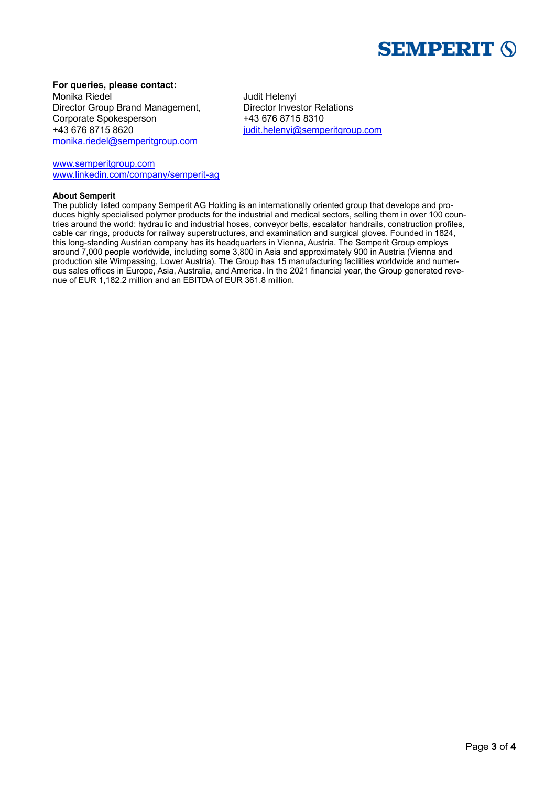

# **For queries, please contact:**

Monika Riedel **Monical Accord Accord Monical Accord Accord Accord Accord Monical Accord Accord Monical Accord Monical Accord Monical Accord Monical Accord Monical Accord Monical Accord Monical Accord Monical Accord Monical** Director Group Brand Management, Director Investor Relations Corporate Spokesperson +43 676 8715 8310 +43 676 8715 8620 [judit.helenyi@semperitgroup.com](mailto:judit.helenyi@semperitgroup.com) [monika.riedel@semperitgroup.com](mailto:monika.riedel@semperitgroup.com)

[www.semperitgroup.com](http://www.semperitgroup.com/) [www.linkedin.com/company/semperit-ag](http://www.linkedin.com/company/semperit-ag)

#### **About Semperit**

The publicly listed company Semperit AG Holding is an internationally oriented group that develops and produces highly specialised polymer products for the industrial and medical sectors, selling them in over 100 countries around the world: hydraulic and industrial hoses, conveyor belts, escalator handrails, construction profiles, cable car rings, products for railway superstructures, and examination and surgical gloves. Founded in 1824, this long-standing Austrian company has its headquarters in Vienna, Austria. The Semperit Group employs around 7,000 people worldwide, including some 3,800 in Asia and approximately 900 in Austria (Vienna and production site Wimpassing, Lower Austria). The Group has 15 manufacturing facilities worldwide and numerous sales offices in Europe, Asia, Australia, and America. In the 2021 financial year, the Group generated revenue of EUR 1,182.2 million and an EBITDA of EUR 361.8 million.